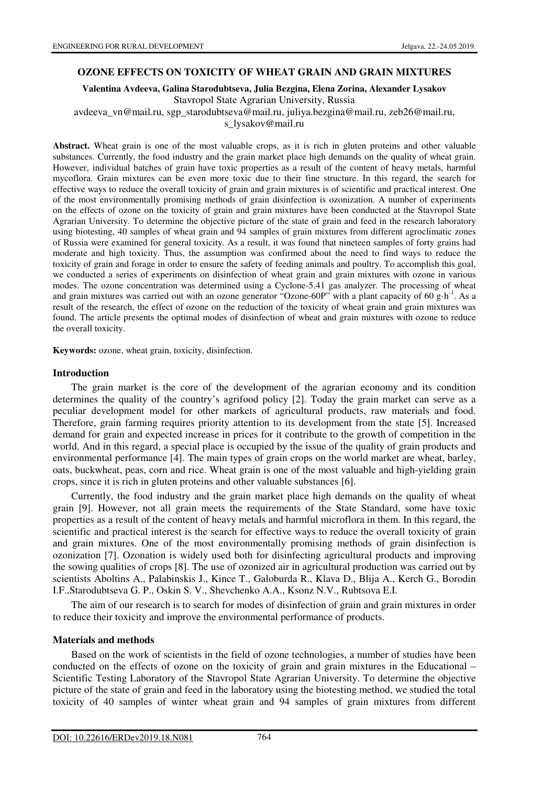### **OZONE EFFECTS ON TOXICITY OF WHEAT GRAIN AND GRAIN MIXTURES**

**Valentina Avdeeva, Galina Starodubtseva, Julia Bezgina, Elena Zorina, Alexander Lysakov**  Stavropol State Agrarian University, Russia

avdeeva\_vn@mail.ru, sgp\_starodubtseva@mail.ru, juliya.bezgina@mail.ru, zeb26@mail.ru,

s\_lysakov@mail.ru

**Abstract.** Wheat grain is one of the most valuable crops, as it is rich in gluten proteins and other valuable substances. Currently, the food industry and the grain market place high demands on the quality of wheat grain. However, individual batches of grain have toxic properties as a result of the content of heavy metals, harmful mycoflora. Grain mixtures can be even more toxic due to their fine structure. In this regard, the search for effective ways to reduce the overall toxicity of grain and grain mixtures is of scientific and practical interest. One of the most environmentally promising methods of grain disinfection is ozonization. A number of experiments on the effects of ozone on the toxicity of grain and grain mixtures have been conducted at the Stavropol State Agrarian University. To determine the objective picture of the state of grain and feed in the research laboratory using biotesting, 40 samples of wheat grain and 94 samples of grain mixtures from different agroclimatic zones of Russia were examined for general toxicity. As a result, it was found that nineteen samples of forty grains had moderate and high toxicity. Thus, the assumption was confirmed about the need to find ways to reduce the toxicity of grain and forage in order to ensure the safety of feeding animals and poultry. To accomplish this goal, we conducted a series of experiments on disinfection of wheat grain and grain mixtures with ozone in various modes. The ozone concentration was determined using a Cyclone-5.41 gas analyzer. The processing of wheat and grain mixtures was carried out with an ozone generator "Ozone-60P" with a plant capacity of 60 g·h<sup>-1</sup>. As a result of the research, the effect of ozone on the reduction of the toxicity of wheat grain and grain mixtures was found. The article presents the optimal modes of disinfection of wheat and grain mixtures with ozone to reduce the overall toxicity.

**Keywords:** ozone, wheat grain, toxicity, disinfection.

#### **Introduction**

The grain market is the core of the development of the agrarian economy and its condition determines the quality of the country's agrifood policy [2]. Today the grain market can serve as a peculiar development model for other markets of agricultural products, raw materials and food. Therefore, grain farming requires priority attention to its development from the state [5]. Increased demand for grain and expected increase in prices for it contribute to the growth of competition in the world. And in this regard, a special place is occupied by the issue of the quality of grain products and environmental performance [4]. The main types of grain crops on the world market are wheat, barley, oats, buckwheat, peas, corn and rice. Wheat grain is one of the most valuable and high-yielding grain crops, since it is rich in gluten proteins and other valuable substances [6].

Currently, the food industry and the grain market place high demands on the quality of wheat grain [9]. However, not all grain meets the requirements of the State Standard, some have toxic properties as a result of the content of heavy metals and harmful microflora in them. In this regard, the scientific and practical interest is the search for effective ways to reduce the overall toxicity of grain and grain mixtures. One of the most environmentally promising methods of grain disinfection is ozonization [7]. Ozonation is widely used both for disinfecting agricultural products and improving the sowing qualities of crops [8]. The use of ozonized air in agricultural production was carried out by scientists Aboltins A., Palabinskis J., Kince T., Galoburda R., Klava D., Blija A., Kerch G., Borodin I.F.,Starodubtseva G. P., Oskin S. V., Shevchenko A.A., Ksonz N.V., Rubtsova E.I.

The aim of our research is to search for modes of disinfection of grain and grain mixtures in order to reduce their toxicity and improve the environmental performance of products.

#### **Materials and methods**

Based on the work of scientists in the field of ozone technologies, a number of studies have been conducted on the effects of ozone on the toxicity of grain and grain mixtures in the Educational – Scientific Testing Laboratory of the Stavropol State Agrarian University. To determine the objective picture of the state of grain and feed in the laboratory using the biotesting method, we studied the total toxicity of 40 samples of winter wheat grain and 94 samples of grain mixtures from different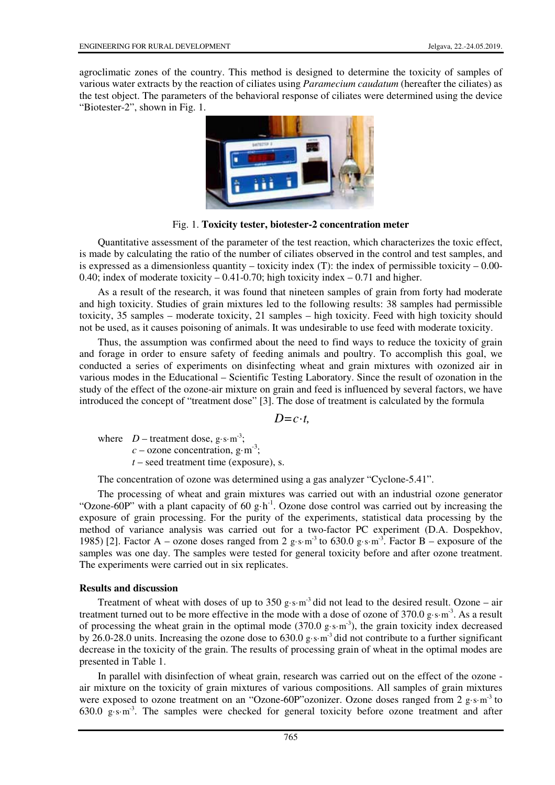agroclimatic zones of the country. This method is designed to determine the toxicity of samples of various water extracts by the reaction of ciliates using *Paramecium caudatum* (hereafter the ciliates) as the test object. The parameters of the behavioral response of ciliates were determined using the device "Biotester-2", shown in Fig. 1.



Fig. 1. **Toxicity tester, biotester-2 concentration meter** 

Quantitative assessment of the parameter of the test reaction, which characterizes the toxic effect, is made by calculating the ratio of the number of ciliates observed in the control and test samples, and is expressed as a dimensionless quantity – toxicity index (T): the index of permissible toxicity –  $0.00-$ 0.40; index of moderate toxicity  $-0.41$ -0.70; high toxicity index  $-0.71$  and higher.

As a result of the research, it was found that nineteen samples of grain from forty had moderate and high toxicity. Studies of grain mixtures led to the following results: 38 samples had permissible toxicity, 35 samples – moderate toxicity, 21 samples – high toxicity. Feed with high toxicity should not be used, as it causes poisoning of animals. It was undesirable to use feed with moderate toxicity.

Thus, the assumption was confirmed about the need to find ways to reduce the toxicity of grain and forage in order to ensure safety of feeding animals and poultry. To accomplish this goal, we conducted a series of experiments on disinfecting wheat and grain mixtures with ozonized air in various modes in the Educational – Scientific Testing Laboratory. Since the result of ozonation in the study of the effect of the ozone-air mixture on grain and feed is influenced by several factors, we have introduced the concept of "treatment dose" [3]. The dose of treatment is calculated by the formula

 $D = c \cdot t$ 

where  $D$  – treatment dose, g·s·m<sup>-3</sup>;  $c$  – ozone concentration, g·m<sup>-3</sup>;  $t$  – seed treatment time (exposure), s.

The concentration of ozone was determined using a gas analyzer "Cyclone-5.41".

The processing of wheat and grain mixtures was carried out with an industrial ozone generator "Ozone-60P" with a plant capacity of 60 g·h<sup>-1</sup>. Ozone dose control was carried out by increasing the exposure of grain processing. For the purity of the experiments, statistical data processing by the method of variance analysis was carried out for a two-factor PC experiment (D.A. Dospekhov, 1985) [2]. Factor A – ozone doses ranged from 2 g·s·m<sup>-3</sup> to 630.0 g·s·m<sup>-3</sup>. Factor B – exposure of the samples was one day. The samples were tested for general toxicity before and after ozone treatment. The experiments were carried out in six replicates.

# **Results and discussion**

Treatment of wheat with doses of up to 350 g·s·m<sup>-3</sup> did not lead to the desired result. Ozone – air treatment turned out to be more effective in the mode with a dose of ozone of 370.0 g·s·m-3. As a result of processing the wheat grain in the optimal mode  $(370.0 \text{ g} \cdot \text{s} \cdot \text{m}^3)$ , the grain toxicity index decreased by 26.0-28.0 units. Increasing the ozone dose to 630.0 g·s·m-3 did not contribute to a further significant decrease in the toxicity of the grain. The results of processing grain of wheat in the optimal modes are presented in Table 1.

In parallel with disinfection of wheat grain, research was carried out on the effect of the ozone air mixture on the toxicity of grain mixtures of various compositions. All samples of grain mixtures were exposed to ozone treatment on an "Ozone-60P"ozonizer. Ozone doses ranged from 2 g·s·m<sup>-3</sup> to  $630.0 \text{ g} \cdot \text{s} \cdot \text{m}^3$ . The samples were checked for general toxicity before ozone treatment and after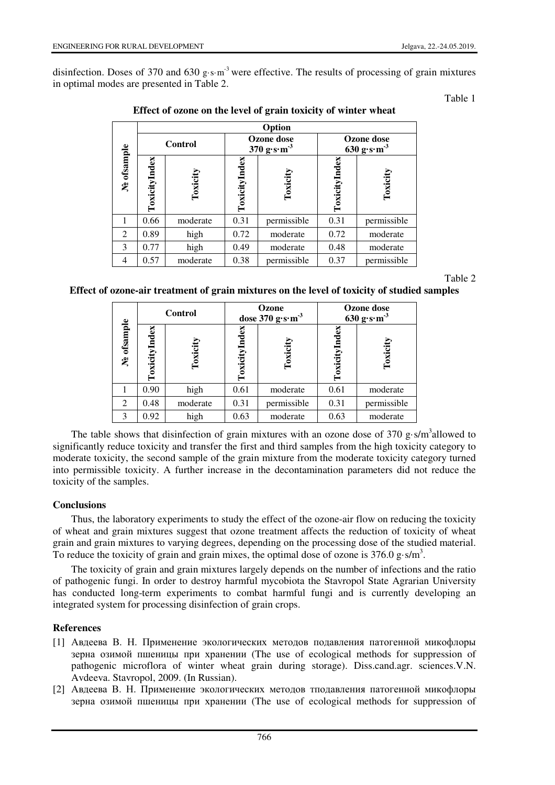disinfection. Doses of 370 and 630 g·s·m<sup>-3</sup> were effective. The results of processing of grain mixtures in optimal modes are presented in Table 2.

### Table 1

|             | Option         |          |                                                               |             |                                                 |             |  |  |  |
|-------------|----------------|----------|---------------------------------------------------------------|-------------|-------------------------------------------------|-------------|--|--|--|
|             | <b>Control</b> |          | Ozone dose<br>$370 \text{ g} \cdot \text{s} \cdot \text{m}^3$ |             | <b>Ozone</b> dose<br>630 $g\cdot s\cdot m^{-3}$ |             |  |  |  |
| Ne ofsample | ToxicityIndex  | Toxicity | ToxicityIndex                                                 | Toxicit     | ěX<br>ToxicityInd                               | Toxicity    |  |  |  |
|             | 0.66           | moderate | 0.31                                                          | permissible | 0.31                                            | permissible |  |  |  |
| 2           | 0.89           | high     | 0.72                                                          | moderate    | 0.72                                            | moderate    |  |  |  |
| 3           | 0.77           | high     | 0.49                                                          | moderate    | 0.48                                            | moderate    |  |  |  |
| 4           | 0.57           | moderate | 0.38                                                          | permissible | 0.37                                            | permissible |  |  |  |

Table 2

| Effect of ozone-air treatment of grain mixtures on the level of toxicity of studied samples |  |
|---------------------------------------------------------------------------------------------|--|
|---------------------------------------------------------------------------------------------|--|

| Ne ofsample                 | <b>Control</b>             |          | Ozone<br>dose $370 g·s·m-3$       |             | <b>Ozone</b> dose<br>$630 \text{ g} \cdot \text{s} \cdot \text{m}^3$ |             |
|-----------------------------|----------------------------|----------|-----------------------------------|-------------|----------------------------------------------------------------------|-------------|
|                             | $_{\rm index}$<br>Toxicity | Toxicity | $_{\rm Index}$<br><b>Toxicity</b> | Toxicity    | $\det$<br><b>Toxicity</b>                                            | Toxici      |
|                             | 0.90                       | high     | 0.61                              | moderate    | 0.61                                                                 | moderate    |
| $\mathcal{D}_{\mathcal{L}}$ | 0.48                       | moderate | 0.31                              | permissible | 0.31                                                                 | permissible |
| $\mathcal{R}$               | 0.92                       | high     | 0.63                              | moderate    | 0.63                                                                 | moderate    |

The table shows that disinfection of grain mixtures with an ozone dose of  $370$  g·s/m<sup>3</sup> allowed to significantly reduce toxicity and transfer the first and third samples from the high toxicity category to moderate toxicity, the second sample of the grain mixture from the moderate toxicity category turned into permissible toxicity. A further increase in the decontamination parameters did not reduce the toxicity of the samples.

# **Conclusions**

Thus, the laboratory experiments to study the effect of the ozone-air flow on reducing the toxicity of wheat and grain mixtures suggest that ozone treatment affects the reduction of toxicity of wheat grain and grain mixtures to varying degrees, depending on the processing dose of the studied material. To reduce the toxicity of grain and grain mixes, the optimal dose of ozone is  $376.0 \text{ g}\cdot\text{s/m}^3$ .

The toxicity of grain and grain mixtures largely depends on the number of infections and the ratio of pathogenic fungi. In order to destroy harmful mycobiota the Stavropol State Agrarian University has conducted long-term experiments to combat harmful fungi and is currently developing an integrated system for processing disinfection of grain crops.

# **References**

- [1] Авдеева В. Н. Применение экологических методов подавления патогенной микофлоры зерна озимой пшеницы при хранении (The use of ecological methods for suppression of pathogenic microflora of winter wheat grain during storage). Diss.cand.agr. sciences.V.N. Avdeeva. Stavropol, 2009. (In Russian).
- [2] Авдеева В. Н. Применение экологических методов тподавления патогенной микофлоры зерна озимой пшеницы при хранении (The use of ecological methods for suppression of